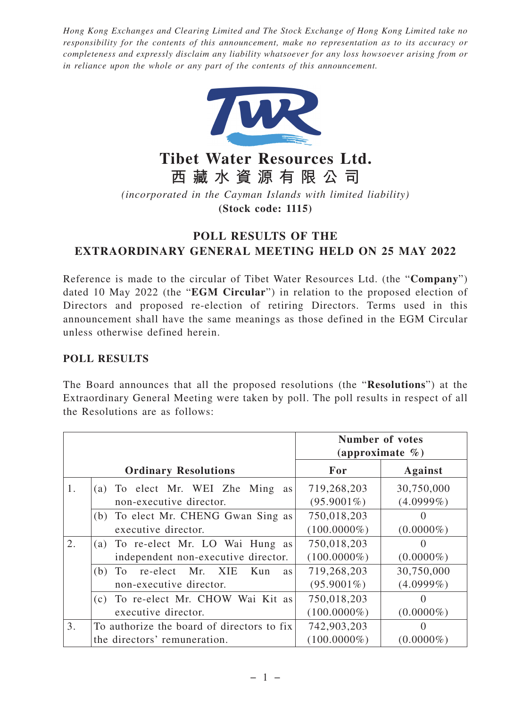*Hong Kong Exchanges and Clearing Limited and The Stock Exchange of Hong Kong Limited take no responsibility for the contents of this announcement, make no representation as to its accuracy or completeness and expressly disclaim any liability whatsoever for any loss howsoever arising from or in reliance upon the whole or any part of the contents of this announcement.*



**Tibet Water Resources Ltd. 西藏水資源有限公司**

*(incorporated in the Cayman Islands with limited liability)*

**(Stock code: 1115)**

## **POLL RESULTS OF THE EXTRAORDINARY GENERAL MEETING HELD ON 25 MAY 2022**

Reference is made to the circular of Tibet Water Resources Ltd. (the "**Company**") dated 10 May 2022 (the "**EGM Circular**") in relation to the proposed election of Directors and proposed re-election of retiring Directors. Terms used in this announcement shall have the same meanings as those defined in the EGM Circular unless otherwise defined herein.

## **POLL RESULTS**

The Board announces that all the proposed resolutions (the "**Resolutions**") at the Extraordinary General Meeting were taken by poll. The poll results in respect of all the Resolutions are as follows:

|    |                                               | <b>Number of votes</b><br>(approximate $\%$ ) |                |
|----|-----------------------------------------------|-----------------------------------------------|----------------|
|    | <b>Ordinary Resolutions</b>                   | For                                           | <b>Against</b> |
| 1. | (a) To elect Mr. WEI Zhe Ming<br>as l         | 719,268,203                                   | 30,750,000     |
|    | non-executive director.                       | $(95.9001\%)$                                 | $(4.0999\%)$   |
|    | (b) To elect Mr. CHENG Gwan Sing as           | 750,018,203                                   | $\Omega$       |
|    | executive director.                           | $(100.0000\%)$                                | $(0.0000\%)$   |
| 2. | (a) To re-elect Mr. LO Wai Hung as            | 750,018,203                                   | $\theta$       |
|    | independent non-executive director.           | $(100.0000\%)$                                | $(0.0000\%)$   |
|    | re-elect Mr. XIE<br>To.<br>Kun<br>(b)<br>as l | 719,268,203                                   | 30,750,000     |
|    | non-executive director.                       | $(95.9001\%)$                                 | $(4.0999\%)$   |
|    | (c) To re-elect Mr. CHOW Wai Kit as           | 750,018,203                                   | $\Omega$       |
|    | executive director.                           | $(100.0000\%)$                                | $(0.0000\%)$   |
| 3. | To authorize the board of directors to fix    | 742,903,203                                   | $\Omega$       |
|    | the directors' remuneration.                  | $(100.0000\%)$                                | $(0.0000\%)$   |